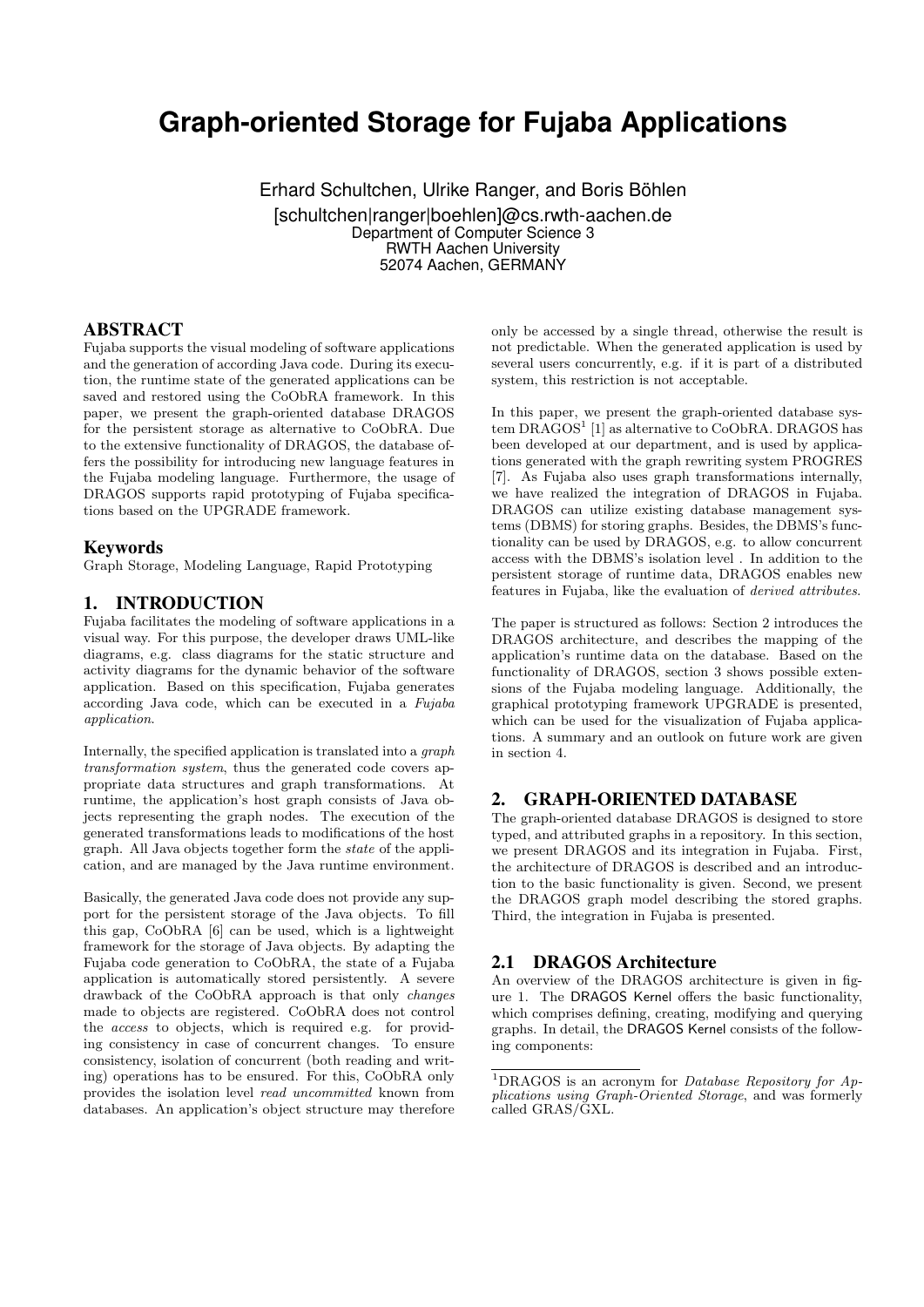# **Graph-oriented Storage for Fujaba Applications**

Erhard Schultchen, Ulrike Ranger, and Boris Böhlen [schultchen|ranger|boehlen]@cs.rwth-aachen.de Department of Computer Science 3 RWTH Aachen University 52074 Aachen, GERMANY

#### ABSTRACT

Fujaba supports the visual modeling of software applications and the generation of according Java code. During its execution, the runtime state of the generated applications can be saved and restored using the CoObRA framework. In this paper, we present the graph-oriented database DRAGOS for the persistent storage as alternative to CoObRA. Due to the extensive functionality of DRAGOS, the database offers the possibility for introducing new language features in the Fujaba modeling language. Furthermore, the usage of DRAGOS supports rapid prototyping of Fujaba specifications based on the UPGRADE framework.

#### Keywords

Graph Storage, Modeling Language, Rapid Prototyping

#### 1. INTRODUCTION

Fujaba facilitates the modeling of software applications in a visual way. For this purpose, the developer draws UML-like diagrams, e.g. class diagrams for the static structure and activity diagrams for the dynamic behavior of the software application. Based on this specification, Fujaba generates according Java code, which can be executed in a Fujaba application.

Internally, the specified application is translated into a graph transformation system, thus the generated code covers appropriate data structures and graph transformations. At runtime, the application's host graph consists of Java objects representing the graph nodes. The execution of the generated transformations leads to modifications of the host graph. All Java objects together form the state of the application, and are managed by the Java runtime environment.

Basically, the generated Java code does not provide any support for the persistent storage of the Java objects. To fill this gap, CoObRA [6] can be used, which is a lightweight framework for the storage of Java objects. By adapting the Fujaba code generation to CoObRA, the state of a Fujaba application is automatically stored persistently. A severe drawback of the CoObRA approach is that only changes made to objects are registered. CoObRA does not control the access to objects, which is required e.g. for providing consistency in case of concurrent changes. To ensure consistency, isolation of concurrent (both reading and writing) operations has to be ensured. For this, CoObRA only provides the isolation level read uncommitted known from databases. An application's object structure may therefore

only be accessed by a single thread, otherwise the result is not predictable. When the generated application is used by several users concurrently, e.g. if it is part of a distributed system, this restriction is not acceptable.

In this paper, we present the graph-oriented database system DRAGOS<sup>1</sup> [1] as alternative to CoObRA. DRAGOS has been developed at our department, and is used by applications generated with the graph rewriting system PROGRES [7]. As Fujaba also uses graph transformations internally, we have realized the integration of DRAGOS in Fujaba. DRAGOS can utilize existing database management systems (DBMS) for storing graphs. Besides, the DBMS's functionality can be used by DRAGOS, e.g. to allow concurrent access with the DBMS's isolation level . In addition to the persistent storage of runtime data, DRAGOS enables new features in Fujaba, like the evaluation of derived attributes.

The paper is structured as follows: Section 2 introduces the DRAGOS architecture, and describes the mapping of the application's runtime data on the database. Based on the functionality of DRAGOS, section 3 shows possible extensions of the Fujaba modeling language. Additionally, the graphical prototyping framework UPGRADE is presented, which can be used for the visualization of Fujaba applications. A summary and an outlook on future work are given in section 4.

#### 2. GRAPH-ORIENTED DATABASE

The graph-oriented database DRAGOS is designed to store typed, and attributed graphs in a repository. In this section, we present DRAGOS and its integration in Fujaba. First, the architecture of DRAGOS is described and an introduction to the basic functionality is given. Second, we present the DRAGOS graph model describing the stored graphs. Third, the integration in Fujaba is presented.

#### 2.1 DRAGOS Architecture

An overview of the DRAGOS architecture is given in figure 1. The DRAGOS Kernel offers the basic functionality, which comprises defining, creating, modifying and querying graphs. In detail, the DRAGOS Kernel consists of the following components:

<sup>&</sup>lt;sup>1</sup>DRAGOS is an acronym for *Database Repository for Ap*plications using Graph-Oriented Storage, and was formerly called GRAS/GXL.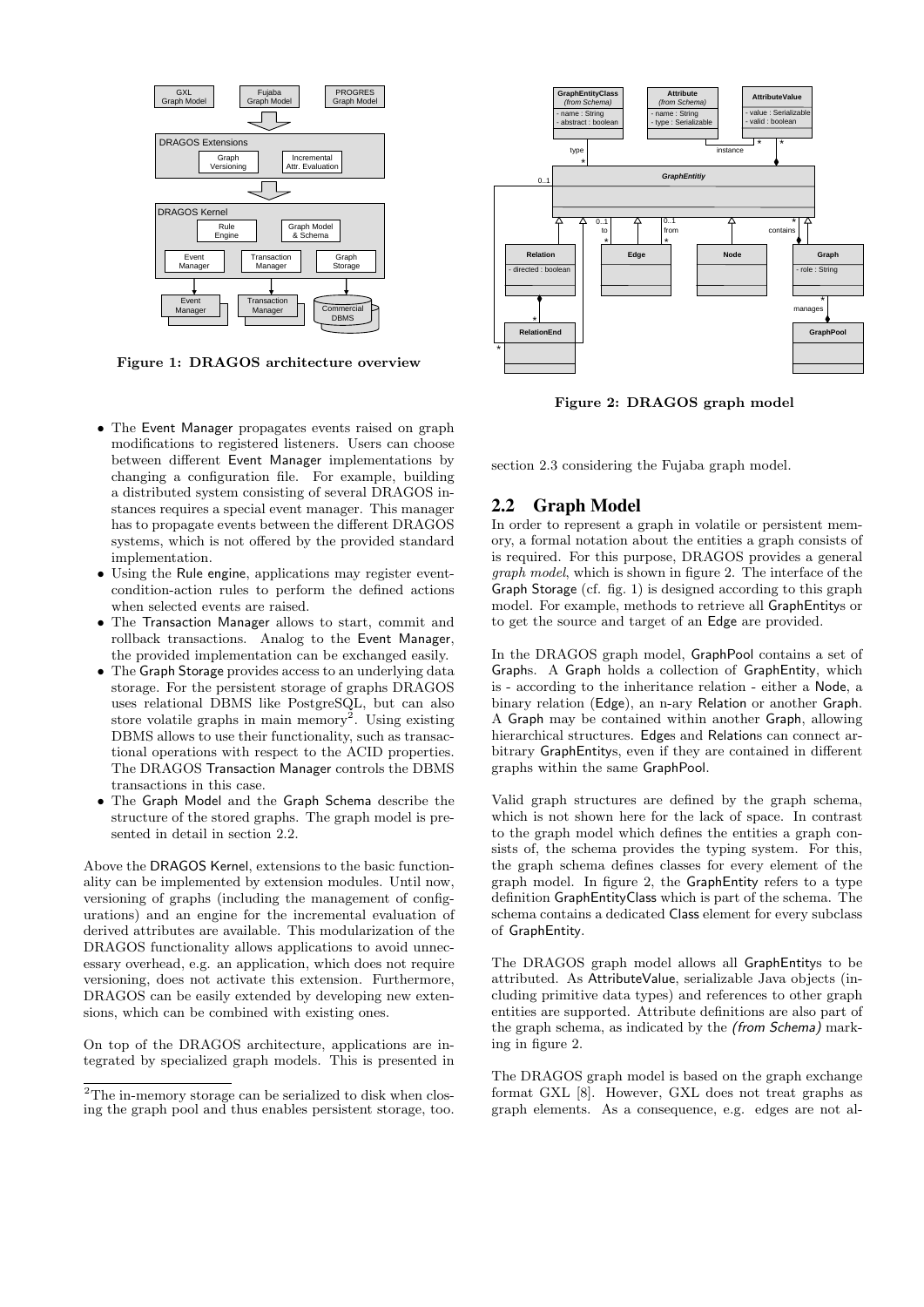

Figure 1: DRAGOS architecture overview

- The Event Manager propagates events raised on graph modifications to registered listeners. Users can choose between different Event Manager implementations by changing a configuration file. For example, building a distributed system consisting of several DRAGOS instances requires a special event manager. This manager has to propagate events between the different DRAGOS systems, which is not offered by the provided standard implementation.
- Using the Rule engine, applications may register eventcondition-action rules to perform the defined actions when selected events are raised.
- The Transaction Manager allows to start, commit and rollback transactions. Analog to the Event Manager, the provided implementation can be exchanged easily.
- The Graph Storage provides access to an underlying data storage. For the persistent storage of graphs DRAGOS uses relational DBMS like PostgreSQL, but can also store volatile graphs in main memory<sup>2</sup>. Using existing DBMS allows to use their functionality, such as transactional operations with respect to the ACID properties. The DRAGOS Transaction Manager controls the DBMS transactions in this case.
- The Graph Model and the Graph Schema describe the structure of the stored graphs. The graph model is presented in detail in section 2.2.

Above the DRAGOS Kernel, extensions to the basic functionality can be implemented by extension modules. Until now, versioning of graphs (including the management of configurations) and an engine for the incremental evaluation of derived attributes are available. This modularization of the DRAGOS functionality allows applications to avoid unnecessary overhead, e.g. an application, which does not require versioning, does not activate this extension. Furthermore, DRAGOS can be easily extended by developing new extensions, which can be combined with existing ones.

On top of the DRAGOS architecture, applications are integrated by specialized graph models. This is presented in



Figure 2: DRAGOS graph model

section 2.3 considering the Fujaba graph model.

#### 2.2 Graph Model

In order to represent a graph in volatile or persistent memory, a formal notation about the entities a graph consists of is required. For this purpose, DRAGOS provides a general graph model, which is shown in figure 2. The interface of the Graph Storage (cf. fig. 1) is designed according to this graph model. For example, methods to retrieve all GraphEntitys or to get the source and target of an Edge are provided.

In the DRAGOS graph model, GraphPool contains a set of Graphs. A Graph holds a collection of GraphEntity, which is - according to the inheritance relation - either a Node, a binary relation (Edge), an n-ary Relation or another Graph. A Graph may be contained within another Graph, allowing hierarchical structures. Edges and Relations can connect arbitrary GraphEntitys, even if they are contained in different graphs within the same GraphPool.

Valid graph structures are defined by the graph schema, which is not shown here for the lack of space. In contrast to the graph model which defines the entities a graph consists of, the schema provides the typing system. For this, the graph schema defines classes for every element of the graph model. In figure 2, the GraphEntity refers to a type definition GraphEntityClass which is part of the schema. The schema contains a dedicated Class element for every subclass of GraphEntity.

The DRAGOS graph model allows all GraphEntitys to be attributed. As AttributeValue, serializable Java objects (including primitive data types) and references to other graph entities are supported. Attribute definitions are also part of the graph schema, as indicated by the (from Schema) marking in figure 2.

The DRAGOS graph model is based on the graph exchange format GXL [8]. However, GXL does not treat graphs as graph elements. As a consequence, e.g. edges are not al-

<sup>&</sup>lt;sup>2</sup>The in-memory storage can be serialized to disk when closing the graph pool and thus enables persistent storage, too.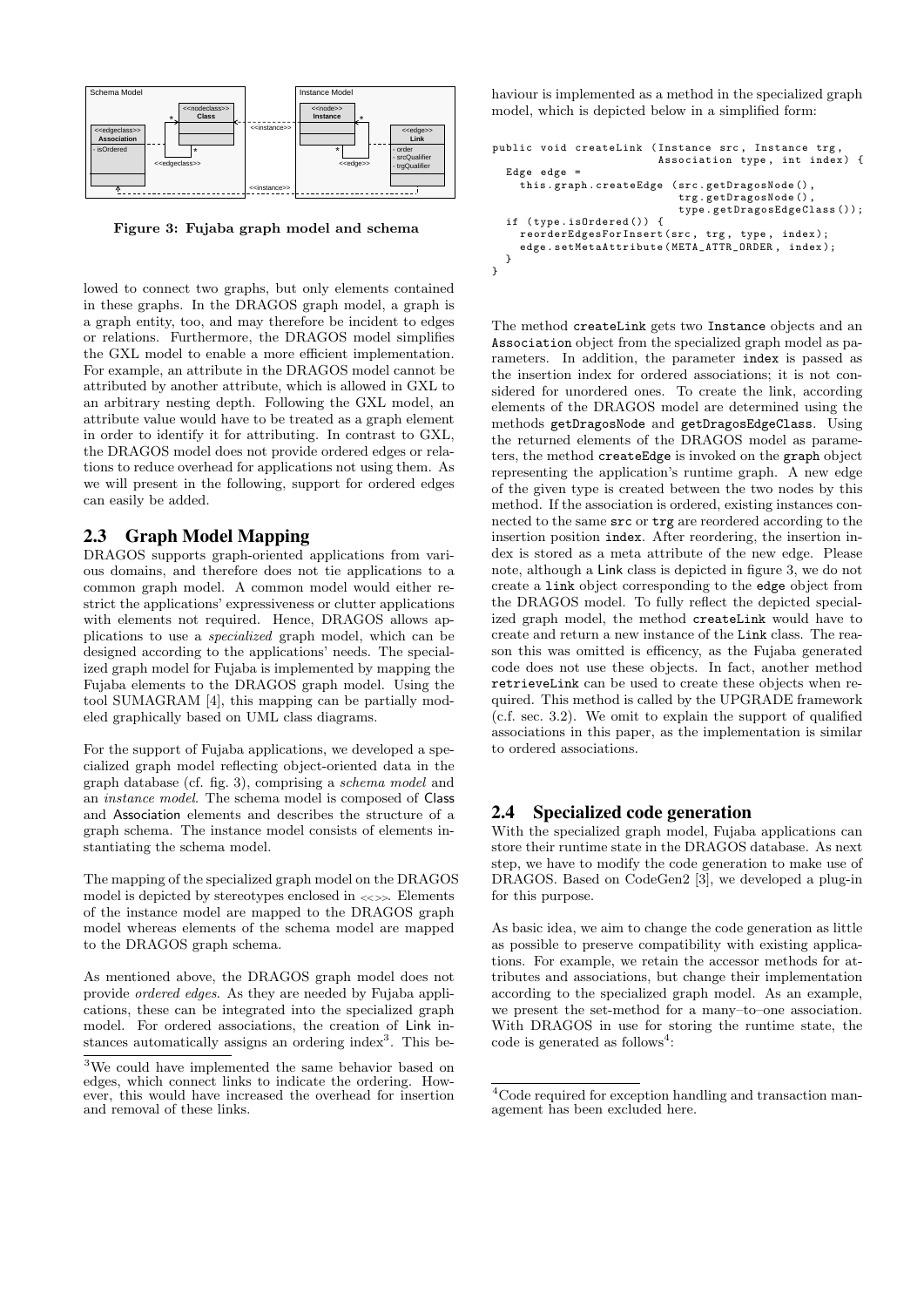

Figure 3: Fujaba graph model and schema

lowed to connect two graphs, but only elements contained in these graphs. In the DRAGOS graph model, a graph is a graph entity, too, and may therefore be incident to edges or relations. Furthermore, the DRAGOS model simplifies the GXL model to enable a more efficient implementation. For example, an attribute in the DRAGOS model cannot be attributed by another attribute, which is allowed in GXL to an arbitrary nesting depth. Following the GXL model, an attribute value would have to be treated as a graph element in order to identify it for attributing. In contrast to GXL, the DRAGOS model does not provide ordered edges or relations to reduce overhead for applications not using them. As we will present in the following, support for ordered edges can easily be added.

#### 2.3 Graph Model Mapping

DRAGOS supports graph-oriented applications from various domains, and therefore does not tie applications to a common graph model. A common model would either restrict the applications' expressiveness or clutter applications with elements not required. Hence, DRAGOS allows applications to use a specialized graph model, which can be designed according to the applications' needs. The specialized graph model for Fujaba is implemented by mapping the Fujaba elements to the DRAGOS graph model. Using the tool SUMAGRAM [4], this mapping can be partially modeled graphically based on UML class diagrams.

For the support of Fujaba applications, we developed a specialized graph model reflecting object-oriented data in the graph database (cf. fig. 3), comprising a schema model and an instance model. The schema model is composed of Class and Association elements and describes the structure of a graph schema. The instance model consists of elements instantiating the schema model.

The mapping of the specialized graph model on the DRAGOS model is depicted by stereotypes enclosed in <<>>. Elements of the instance model are mapped to the DRAGOS graph model whereas elements of the schema model are mapped to the DRAGOS graph schema.

As mentioned above, the DRAGOS graph model does not provide ordered edges. As they are needed by Fujaba applications, these can be integrated into the specialized graph model. For ordered associations, the creation of Link instances automatically assigns an ordering index<sup>3</sup>. This behaviour is implemented as a method in the specialized graph model, which is depicted below in a simplified form:

```
public void createLink (Instance src, Instance trg
                           Association type, int index) {
  Edge edge =
    this . graph . createEdge ( src . getDragosNode () ,
                              trg . getDragosNode () ,
                              type . getDragosEdgeClass ());
  if ( type . isOrdered ()) {
    reorderEdgesForInsert (src, trg, type, index);
    edge . setMetaAttribute ( META_ATTR_ORDER , index );
  }
}
```
The method createLink gets two Instance objects and an Association object from the specialized graph model as parameters. In addition, the parameter index is passed as the insertion index for ordered associations; it is not considered for unordered ones. To create the link, according elements of the DRAGOS model are determined using the methods getDragosNode and getDragosEdgeClass. Using the returned elements of the DRAGOS model as parameters, the method createEdge is invoked on the graph object representing the application's runtime graph. A new edge of the given type is created between the two nodes by this method. If the association is ordered, existing instances connected to the same src or trg are reordered according to the insertion position index. After reordering, the insertion index is stored as a meta attribute of the new edge. Please note, although a Link class is depicted in figure 3, we do not create a link object corresponding to the edge object from the DRAGOS model. To fully reflect the depicted specialized graph model, the method createLink would have to create and return a new instance of the Link class. The reason this was omitted is efficency, as the Fujaba generated code does not use these objects. In fact, another method retrieveLink can be used to create these objects when required. This method is called by the UPGRADE framework (c.f. sec. 3.2). We omit to explain the support of qualified associations in this paper, as the implementation is similar to ordered associations.

#### 2.4 Specialized code generation

With the specialized graph model, Fujaba applications can store their runtime state in the DRAGOS database. As next step, we have to modify the code generation to make use of DRAGOS. Based on CodeGen2 [3], we developed a plug-in for this purpose.

As basic idea, we aim to change the code generation as little as possible to preserve compatibility with existing applications. For example, we retain the accessor methods for attributes and associations, but change their implementation according to the specialized graph model. As an example, we present the set-method for a many–to–one association. With DRAGOS in use for storing the runtime state, the  $code$  is generated as follows<sup>4</sup>:

<sup>3</sup>We could have implemented the same behavior based on edges, which connect links to indicate the ordering. However, this would have increased the overhead for insertion and removal of these links.

<sup>4</sup>Code required for exception handling and transaction management has been excluded here.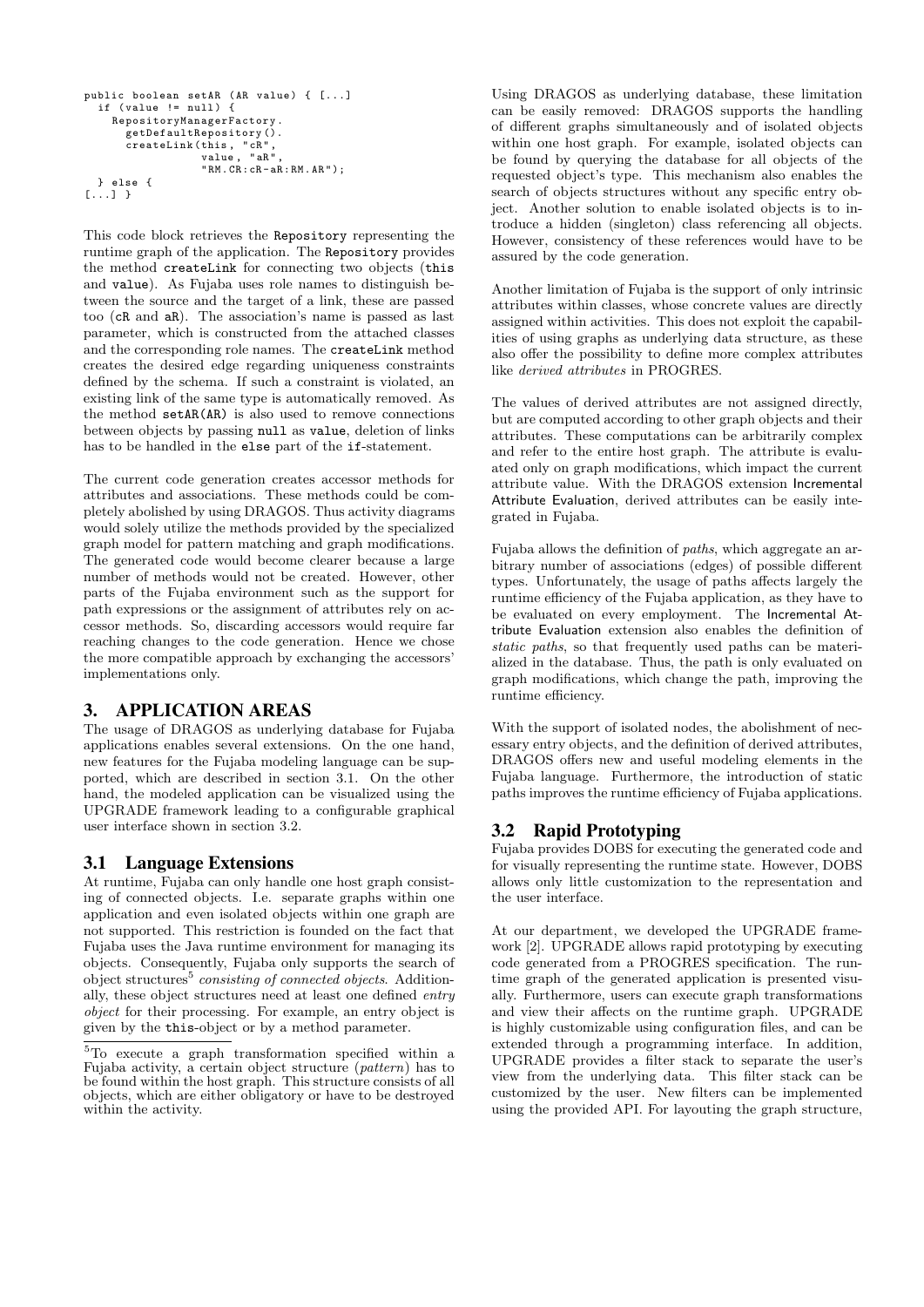```
public boolean setAR (AR value) { [...]
  if (value != null) {
    RepositoryManagerFactory .
       getDefaultRepository ().
       createLink ( this , " cR " ,
value , " aR " ,
                    "RM.CR: cR - aR: RM.AR" ):
  } else {
[...] }
```
This code block retrieves the Repository representing the runtime graph of the application. The Repository provides the method createLink for connecting two objects (this and value). As Fujaba uses role names to distinguish between the source and the target of a link, these are passed too (cR and aR). The association's name is passed as last parameter, which is constructed from the attached classes and the corresponding role names. The createLink method creates the desired edge regarding uniqueness constraints defined by the schema. If such a constraint is violated, an existing link of the same type is automatically removed. As the method setAR(AR) is also used to remove connections between objects by passing null as value, deletion of links has to be handled in the else part of the if-statement.

The current code generation creates accessor methods for attributes and associations. These methods could be completely abolished by using DRAGOS. Thus activity diagrams would solely utilize the methods provided by the specialized graph model for pattern matching and graph modifications. The generated code would become clearer because a large number of methods would not be created. However, other parts of the Fujaba environment such as the support for path expressions or the assignment of attributes rely on accessor methods. So, discarding accessors would require far reaching changes to the code generation. Hence we chose the more compatible approach by exchanging the accessors' implementations only.

## 3. APPLICATION AREAS

The usage of DRAGOS as underlying database for Fujaba applications enables several extensions. On the one hand, new features for the Fujaba modeling language can be supported, which are described in section 3.1. On the other hand, the modeled application can be visualized using the UPGRADE framework leading to a configurable graphical user interface shown in section 3.2.

#### 3.1 Language Extensions

At runtime, Fujaba can only handle one host graph consisting of connected objects. I.e. separate graphs within one application and even isolated objects within one graph are not supported. This restriction is founded on the fact that Fujaba uses the Java runtime environment for managing its objects. Consequently, Fujaba only supports the search of object structures<sup>5</sup> consisting of connected objects. Additionally, these object structures need at least one defined entry object for their processing. For example, an entry object is given by the this-object or by a method parameter.

Using DRAGOS as underlying database, these limitation can be easily removed: DRAGOS supports the handling of different graphs simultaneously and of isolated objects within one host graph. For example, isolated objects can be found by querying the database for all objects of the requested object's type. This mechanism also enables the search of objects structures without any specific entry object. Another solution to enable isolated objects is to introduce a hidden (singleton) class referencing all objects. However, consistency of these references would have to be assured by the code generation.

Another limitation of Fujaba is the support of only intrinsic attributes within classes, whose concrete values are directly assigned within activities. This does not exploit the capabilities of using graphs as underlying data structure, as these also offer the possibility to define more complex attributes like derived attributes in PROGRES.

The values of derived attributes are not assigned directly, but are computed according to other graph objects and their attributes. These computations can be arbitrarily complex and refer to the entire host graph. The attribute is evaluated only on graph modifications, which impact the current attribute value. With the DRAGOS extension Incremental Attribute Evaluation, derived attributes can be easily integrated in Fujaba.

Fujaba allows the definition of paths, which aggregate an arbitrary number of associations (edges) of possible different types. Unfortunately, the usage of paths affects largely the runtime efficiency of the Fujaba application, as they have to be evaluated on every employment. The Incremental Attribute Evaluation extension also enables the definition of static paths, so that frequently used paths can be materialized in the database. Thus, the path is only evaluated on graph modifications, which change the path, improving the runtime efficiency.

With the support of isolated nodes, the abolishment of necessary entry objects, and the definition of derived attributes, DRAGOS offers new and useful modeling elements in the Fujaba language. Furthermore, the introduction of static paths improves the runtime efficiency of Fujaba applications.

# 3.2 Rapid Prototyping

Fujaba provides DOBS for executing the generated code and for visually representing the runtime state. However, DOBS allows only little customization to the representation and the user interface.

At our department, we developed the UPGRADE framework [2]. UPGRADE allows rapid prototyping by executing code generated from a PROGRES specification. The runtime graph of the generated application is presented visually. Furthermore, users can execute graph transformations and view their affects on the runtime graph. UPGRADE is highly customizable using configuration files, and can be extended through a programming interface. In addition, UPGRADE provides a filter stack to separate the user's view from the underlying data. This filter stack can be customized by the user. New filters can be implemented using the provided API. For layouting the graph structure,

<sup>5</sup>To execute a graph transformation specified within a Fujaba activity, a certain object structure (pattern) has to be found within the host graph. This structure consists of all objects, which are either obligatory or have to be destroyed within the activity.